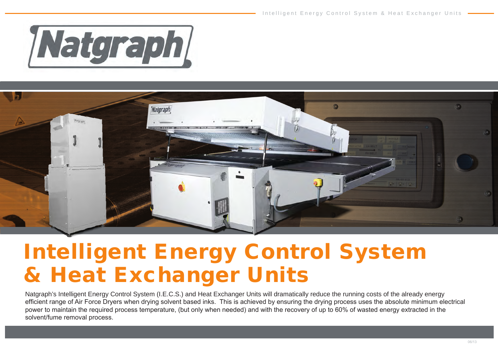



# Intelligent Energy Control System & Heat Exchanger Units

Natgraph's Intelligent Energy Control System (I.E.C.S.) and Heat Exchanger Units will dramatically reduce the running costs of the already energy efficient range of Air Force Dryers when drying solvent based inks. This is achieved by ensuring the drying process uses the absolute minimum electrical power to maintain the required process temperature, (but only when needed) and with the recovery of up to 60% of wasted energy extracted in the solvent/fume removal process.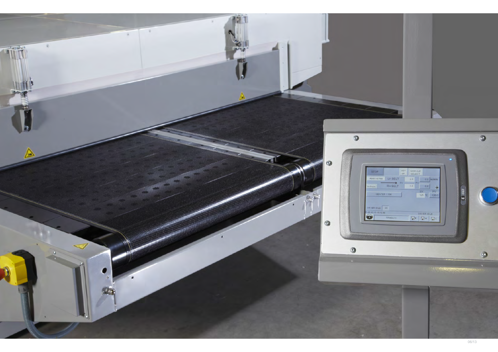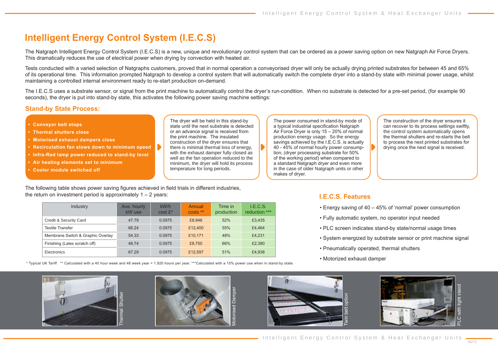## **Intelligent Energy Control System (I.E.C.S)**

The Natgraph Intelligent Energy Control System (I.E.C.S) is a new, unique and revolutionary control system that can be ordered as a power saving option on new Natgraph Air Force Dryers. This dramatically reduces the use of electrical power when drying by convection with heated air.

Tests conducted with a varied selection of Natgraphs customers, proved that in normal operation a conveyorised dryer will only be actually drying printed substrates for between 45 and 65% of its operational time. This information prompted Natgraph to develop a control system that will automatically switch the complete dryer into a stand-by state with minimal power usage, whilst maintaining a controlled internal environment ready to re-start production on-demand.

The I.E.C.S uses a substrate sensor, or signal from the print machine to automatically control the dryer's run-condition. When no substrate is detected for a pre-set period, (for example 90 seconds), the dryer is put into stand-by state, this activates the following power saving machine settings:

#### **Stand-by State Process:**

- **• Conveyor belt stops**
- **• Thermal shutters close**
- **• Motorised exhaust dampers close**
- **• Recirculation fan slows down to minimum speed**
- **• Infra-Red lamp power reduced to stand-by level**
- **• Air heating elements set to minimum**
- **• Cooler module switched off**

The dryer will be held in this stand-by state until the next substrate is detected or an advance signal is received from the print machine. The insulated construction of the dryer ensures that there is minimal thermal loss of energy, with the exhaust damper fully closed as well as the fan operation reduced to the minimum, the dryer will hold its process temperature for long periods.

The power consumed in stand-by mode of a typical industrial specification Natgraph Air Force Dryer is only 15 – 20% of normal production energy usage. So the energy savings achieved by the  $I \in \mathbb{C}$ . S is actually 40 - 45% of normal hourly power consumption, (dryer processing substrate for 50% of the working period) when compared to a standard Natgraph dryer and even more in the case of older Natgraph units or other makes of dryer.

The construction of the dryer ensures it can recover to its process settings swiftly, the control system automatically opens the thermal shutters and re-starts the belt to process the next printed substrates for drying once the next signal is received.

| The following table shows power saving figures achieved in field trials in different industries,<br>the return on investment period is approximately $1 - 2$ years: |                        |                       |                       |                    |                       |                           |
|---------------------------------------------------------------------------------------------------------------------------------------------------------------------|------------------------|-----------------------|-----------------------|--------------------|-----------------------|---------------------------|
|                                                                                                                                                                     | Industry               | Ave. hourly<br>kW use | $k$ W/h<br>$cost f^*$ | Annual<br>costs ** | Time in<br>production | I.E.C.S.<br>reduction *** |
|                                                                                                                                                                     | Credit & Security Card | 47.79                 | 0.0975                | £8.946             | 52%                   | £3435                     |

\* Typical UK Tariff \*\* Calculated with a 40 hour week and 48 week year = 1,920 hours per year. \*\*\*Calculated with a 15% power use when in stand-by state.

Textile Transfer 66.24 0.0975 £12,400 55% £4,464 Membrane Switch & Graphic Overlay 54.33 0.0975 £10,171 48% £4.231 Finishing (Latex scratch off) 46.74 0.0975 **£8,750 66%** £2,380 Electronics 67.29 0.0975 £12,597 51% £4,938

### **I.E.C.S. Features**

- Energy saving of 40 45% of 'normal' power consumption
- Fully automatic system, no operator input needed
- PLC screen indicates stand-by state/normal usage times
- System energized by substrate sensor or print machine signal
- Pneumatically operated, thermal shutters
- Motorized exhaust damper